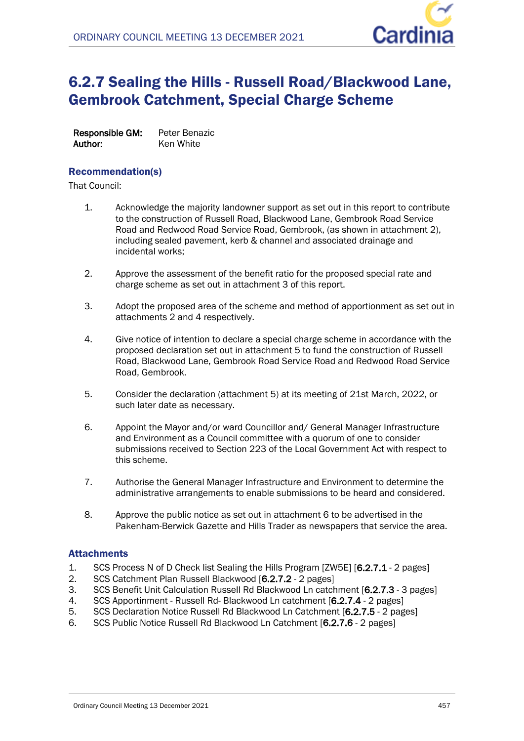

# 6.2.7 Sealing the Hills - Russell Road/Blackwood Lane, Gembrook Catchment, Special Charge Scheme

| <b>Responsible GM:</b> | Peter Benazic |
|------------------------|---------------|
| Author:                | Ken White     |

### Recommendation(s)

That Council:

- 1. Acknowledge the majority landowner support as set out in this report to contribute to the construction of Russell Road, Blackwood Lane, Gembrook Road Service Road and Redwood Road Service Road, Gembrook, (as shown in attachment 2), including sealed pavement, kerb & channel and associated drainage and incidental works;
- 2. Approve the assessment of the benefit ratio for the proposed special rate and charge scheme as set out in attachment 3 of this report.
- 3. Adopt the proposed area of the scheme and method of apportionment as set out in attachments 2 and 4 respectively.
- 4. Give notice of intention to declare a special charge scheme in accordance with the proposed declaration set out in attachment 5 to fund the construction of Russell Road, Blackwood Lane, Gembrook Road Service Road and Redwood Road Service Road, Gembrook.
- 5. Consider the declaration (attachment 5) at its meeting of 21st March, 2022, or such later date as necessary.
- 6. Appoint the Mayor and/or ward Councillor and/ General Manager Infrastructure and Environment as a Council committee with a quorum of one to consider submissions received to Section 223 of the Local Government Act with respect to this scheme.
- 7. Authorise the General Manager Infrastructure and Environment to determine the administrative arrangements to enable submissions to be heard and considered.
- 8. Approve the public notice as set out in attachment 6 to be advertised in the Pakenham-Berwick Gazette and Hills Trader as newspapers that service the area.

### **Attachments**

- 1. SCS Process N of D Check list Sealing the Hills Program [ZW5E] [**6.2.7.1** 2 pages]
- 2. SCS Catchment Plan Russell Blackwood [**6.2.7.2** 2 pages]
- 3. SCS Benefit Unit Calculation Russell Rd Blackwood Ln catchment [**6.2.7.3** 3 pages]
- 4. SCS Apportinment Russell Rd- Blackwood Ln catchment [**6.2.7.4** 2 pages]
- 5. SCS Declaration Notice Russell Rd Blackwood Ln Catchment [**6.2.7.5** 2 pages]
- 6. SCS Public Notice Russell Rd Blackwood Ln Catchment [**6.2.7.6** 2 pages]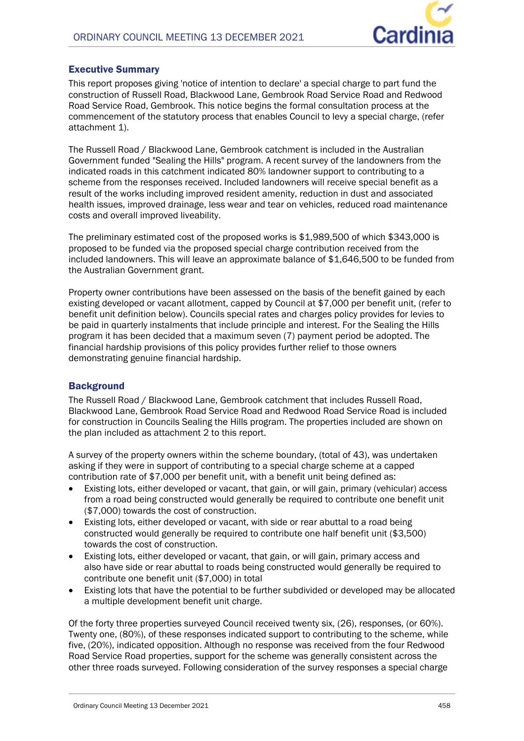

### Executive Summary

This report proposes giving 'notice of intention to declare' a special charge to part fund the construction of Russell Road, Blackwood Lane, Gembrook Road Service Road and Redwood Road Service Road, Gembrook. This notice begins the formal consultation process at the commencement of the statutory process that enables Council to levy a special charge, (refer attachment 1).

The Russell Road / Blackwood Lane, Gembrook catchment is included in the Australian Government funded "Sealing the Hills" program. A recent survey of the landowners from the indicated roads in this catchment indicated 80% landowner support to contributing to a scheme from the responses received. Included landowners will receive special benefit as a result of the works including improved resident amenity, reduction in dust and associated health issues, improved drainage, less wear and tear on vehicles, reduced road maintenance costs and overall improved liveability.

The preliminary estimated cost of the proposed works is \$1,989,500 of which \$343,000 is proposed to be funded via the proposed special charge contribution received from the included landowners. This will leave an approximate balance of \$1,646,500 to be funded from the Australian Government grant.

Property owner contributions have been assessed on the basis of the benefit gained by each existing developed or vacant allotment, capped by Council at \$7,000 per benefit unit, (refer to benefit unit definition below). Councils special rates and charges policy provides for levies to be paid in quarterly instalments that include principle and interest. For the Sealing the Hills program it has been decided that a maximum seven (7) payment period be adopted. The financial hardship provisions of this policy provides further relief to those owners demonstrating genuine financial hardship.

### **Background**

The Russell Road / Blackwood Lane, Gembrook catchment that includes Russell Road, Blackwood Lane, Gembrook Road Service Road and Redwood Road Service Road is included for construction in Councils Sealing the Hills program. The properties included are shown on the plan included as attachment 2 to this report.

A survey of the property owners within the scheme boundary, (total of 43), was undertaken asking if they were in support of contributing to a special charge scheme at a capped contribution rate of \$7,000 per benefit unit, with a benefit unit being defined as:

- Existing lots, either developed or vacant, that gain, or will gain, primary (vehicular) access from a road being constructed would generally be required to contribute one benefit unit (\$7,000) towards the cost of construction.
- Existing lots, either developed or vacant, with side or rear abuttal to a road being constructed would generally be required to contribute one half benefit unit (\$3,500) towards the cost of construction.
- Existing lots, either developed or vacant, that gain, or will gain, primary access and also have side or rear abuttal to roads being constructed would generally be required to contribute one benefit unit (\$7,000) in total
- Existing lots that have the potential to be further subdivided or developed may be allocated a multiple development benefit unit charge.

Of the forty three properties surveyed Council received twenty six, (26), responses, (or 60%). Twenty one, (80%), of these responses indicated support to contributing to the scheme, while five, (20%), indicated opposition. Although no response was received from the four Redwood Road Service Road properties, support for the scheme was generally consistent across the other three roads surveyed. Following consideration of the survey responses a special charge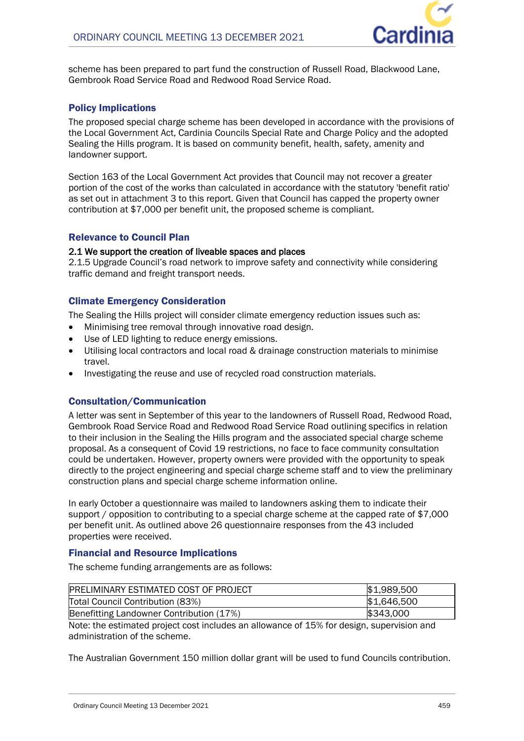

scheme has been prepared to part fund the construction of Russell Road, Blackwood Lane, Gembrook Road Service Road and Redwood Road Service Road.

### Policy Implications

The proposed special charge scheme has been developed in accordance with the provisions of the Local Government Act, Cardinia Councils Special Rate and Charge Policy and the adopted Sealing the Hills program. It is based on community benefit, health, safety, amenity and landowner support.

Section 163 of the Local Government Act provides that Council may not recover a greater portion of the cost of the works than calculated in accordance with the statutory 'benefit ratio' as set out in attachment 3 to this report. Given that Council has capped the property owner contribution at \$7,000 per benefit unit, the proposed scheme is compliant.

### Relevance to Council Plan

### **2.1 We support the creation of liveable spaces and places**

2.1.5 Upgrade Council's road network to improve safety and connectivity while considering traffic demand and freight transport needs.

### Climate Emergency Consideration

The Sealing the Hills project will consider climate emergency reduction issues such as:

- Minimising tree removal through innovative road design.
- Use of LED lighting to reduce energy emissions.
- Utilising local contractors and local road & drainage construction materials to minimise travel.
- Investigating the reuse and use of recycled road construction materials.

### Consultation/Communication

A letter was sent in September of this year to the landowners of Russell Road, Redwood Road, Gembrook Road Service Road and Redwood Road Service Road outlining specifics in relation to their inclusion in the Sealing the Hills program and the associated special charge scheme proposal. As a consequent of Covid 19 restrictions, no face to face community consultation could be undertaken. However, property owners were provided with the opportunity to speak directly to the project engineering and special charge scheme staff and to view the preliminary construction plans and special charge scheme information online.

In early October a questionnaire was mailed to landowners asking them to indicate their support / opposition to contributing to a special charge scheme at the capped rate of \$7,000 per benefit unit. As outlined above 26 questionnaire responses from the 43 included properties were received.

### Financial and Resource Implications

The scheme funding arrangements are as follows:

| <b>PRELIMINARY ESTIMATED COST OF PROJECT</b> | \$1,989,500 |
|----------------------------------------------|-------------|
| Total Council Contribution (83%)             | \$1,646,500 |
| Benefitting Landowner Contribution (17%)     | \$343,000   |

Note: the estimated project cost includes an allowance of 15% for design, supervision and administration of the scheme.

The Australian Government 150 million dollar grant will be used to fund Councils contribution.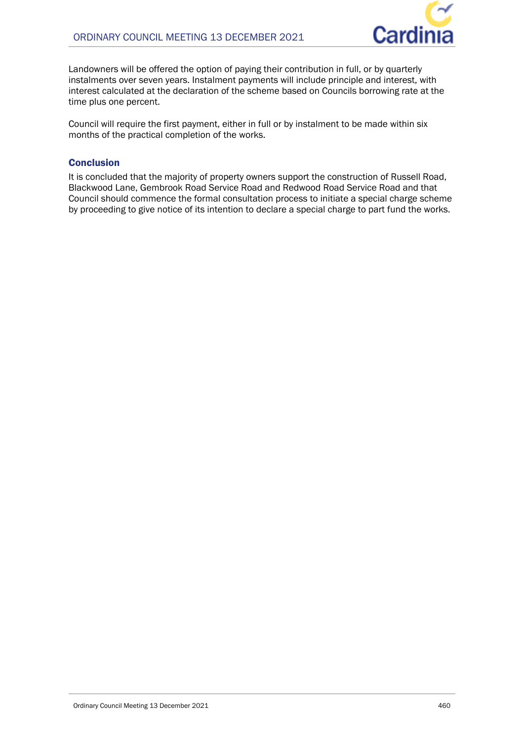

Landowners will be offered the option of paying their contribution in full, or by quarterly instalments over seven years. Instalment payments will include principle and interest, with interest calculated at the declaration of the scheme based on Councils borrowing rate at the time plus one percent.

Council will require the first payment, either in full or by instalment to be made within six months of the practical completion of the works.

### **Conclusion**

It is concluded that the majority of property owners support the construction of Russell Road, Blackwood Lane, Gembrook Road Service Road and Redwood Road Service Road and that Council should commence the formal consultation process to initiate a special charge scheme by proceeding to give notice of its intention to declare a special charge to part fund the works.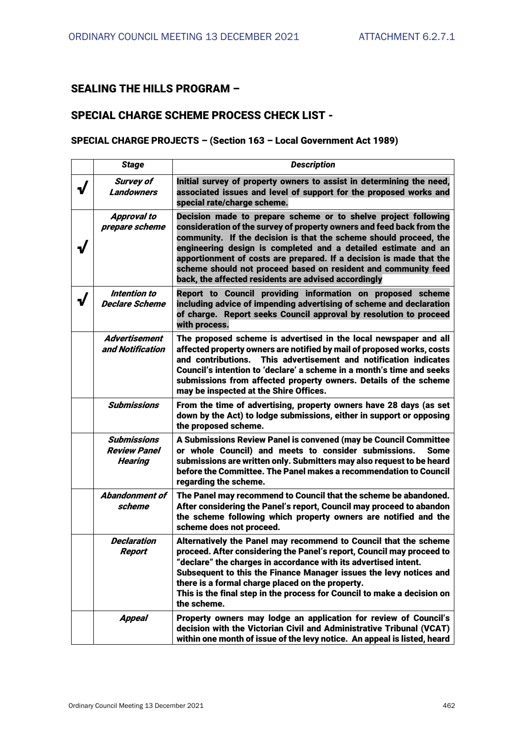# **SEALING THE HILLS PROGRAM –**

# **SPECIAL CHARGE SCHEME PROCESS CHECK LIST -**

# **SPECIAL CHARGE PROJECTS – (Section 163 – Local Government Act 1989)**

|                  | <b>Stage</b>                                                | <b>Description</b>                                                                                                                                                                                                                                                                                                                                                                                                                                                              |
|------------------|-------------------------------------------------------------|---------------------------------------------------------------------------------------------------------------------------------------------------------------------------------------------------------------------------------------------------------------------------------------------------------------------------------------------------------------------------------------------------------------------------------------------------------------------------------|
| $\boldsymbol{J}$ | <b>Survey of</b><br><b>Landowners</b>                       | Initial survey of property owners to assist in determining the need,<br>associated issues and level of support for the proposed works and<br>special rate/charge scheme.                                                                                                                                                                                                                                                                                                        |
|                  | <b>Approval to</b><br>prepare scheme                        | Decision made to prepare scheme or to shelve project following<br>consideration of the survey of property owners and feed back from the<br>community. If the decision is that the scheme should proceed, the<br>engineering design is completed and a detailed estimate and an<br>apportionment of costs are prepared. If a decision is made that the<br>scheme should not proceed based on resident and community feed<br>back, the affected residents are advised accordingly |
|                  | Intention to<br><b>Declare Scheme</b>                       | Report to Council providing information on proposed scheme<br>including advice of impending advertising of scheme and declaration<br>of charge. Report seeks Council approval by resolution to proceed<br>with process.                                                                                                                                                                                                                                                         |
|                  | <b>Advertisement</b><br>and Notification                    | The proposed scheme is advertised in the local newspaper and all<br>affected property owners are notified by mail of proposed works, costs<br>This advertisement and notification indicates<br>and contributions.<br>Council's intention to 'declare' a scheme in a month's time and seeks<br>submissions from affected property owners. Details of the scheme<br>may be inspected at the Shire Offices.                                                                        |
|                  | <b>Submissions</b>                                          | From the time of advertising, property owners have 28 days (as set<br>down by the Act) to lodge submissions, either in support or opposing<br>the proposed scheme.                                                                                                                                                                                                                                                                                                              |
|                  | <b>Submissions</b><br><b>Review Panel</b><br><b>Hearing</b> | A Submissions Review Panel is convened (may be Council Committee<br>or whole Council) and meets to consider submissions.<br><b>Some</b><br>submissions are written only. Submitters may also request to be heard<br>before the Committee. The Panel makes a recommendation to Council<br>regarding the scheme.                                                                                                                                                                  |
|                  | <b>Abandonment of</b><br>scheme                             | The Panel may recommend to Council that the scheme be abandoned.<br>After considering the Panel's report, Council may proceed to abandon<br>the scheme following which property owners are notified and the<br>scheme does not proceed.                                                                                                                                                                                                                                         |
|                  | <b>Declaration</b><br>Report                                | Alternatively the Panel may recommend to Council that the scheme<br>proceed. After considering the Panel's report, Council may proceed to<br>"declare" the charges in accordance with its advertised intent.<br>Subsequent to this the Finance Manager issues the levy notices and<br>there is a formal charge placed on the property.<br>This is the final step in the process for Council to make a decision on<br>the scheme.                                                |
|                  | <b>Appeal</b>                                               | Property owners may lodge an application for review of Council's<br>decision with the Victorian Civil and Administrative Tribunal (VCAT)<br>within one month of issue of the levy notice. An appeal is listed, heard                                                                                                                                                                                                                                                            |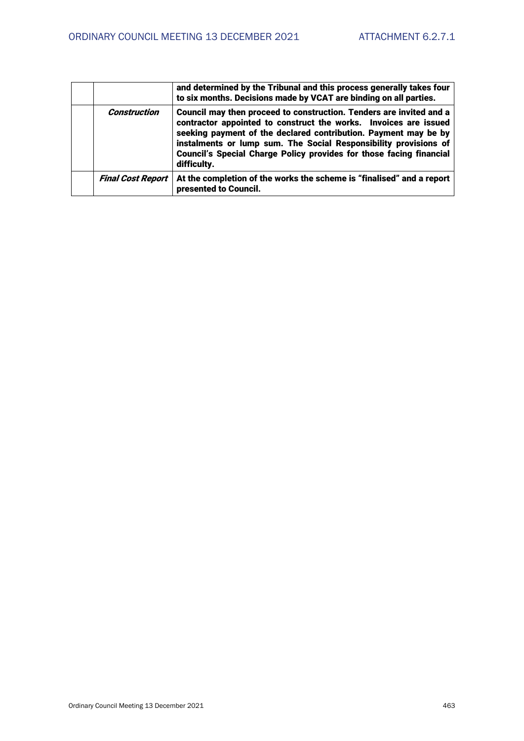|                          | and determined by the Tribunal and this process generally takes four<br>to six months. Decisions made by VCAT are binding on all parties.                                                                                                                                                                                                                            |
|--------------------------|----------------------------------------------------------------------------------------------------------------------------------------------------------------------------------------------------------------------------------------------------------------------------------------------------------------------------------------------------------------------|
| <b>Construction</b>      | Council may then proceed to construction. Tenders are invited and a<br>contractor appointed to construct the works. Invoices are issued<br>seeking payment of the declared contribution. Payment may be by<br>instalments or lump sum. The Social Responsibility provisions of<br>Council's Special Charge Policy provides for those facing financial<br>difficulty. |
| <b>Final Cost Report</b> | At the completion of the works the scheme is "finalised" and a report<br>presented to Council.                                                                                                                                                                                                                                                                       |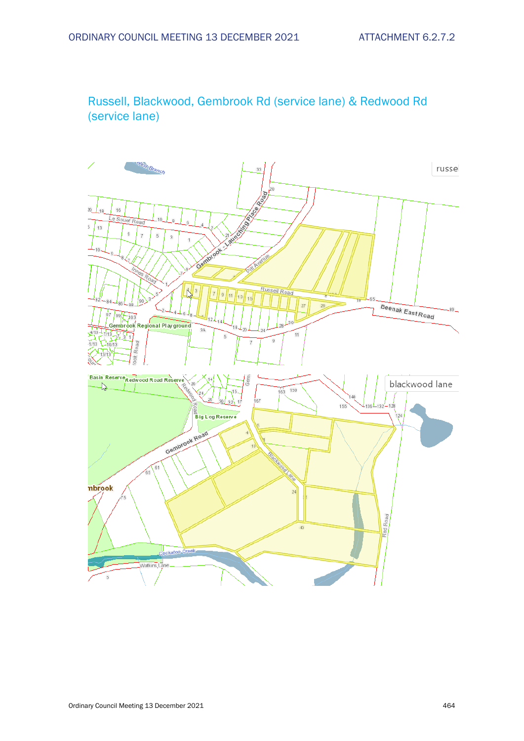Russell, Blackwood, Gembrook Rd (service lane) & Redwood Rd (service lane)

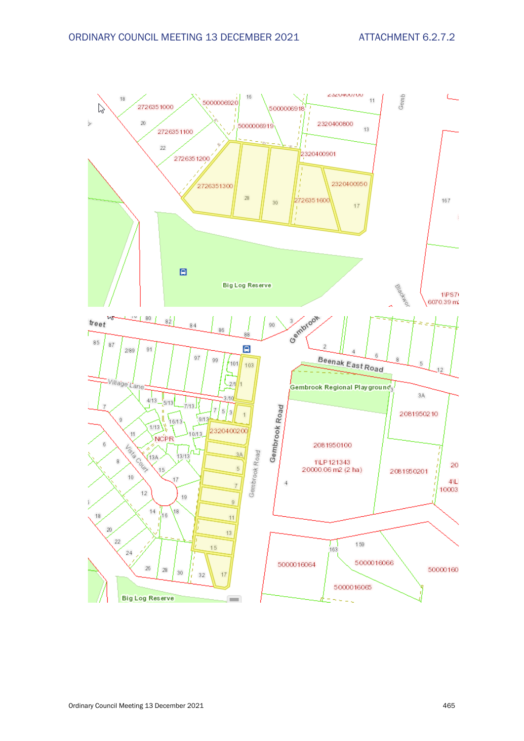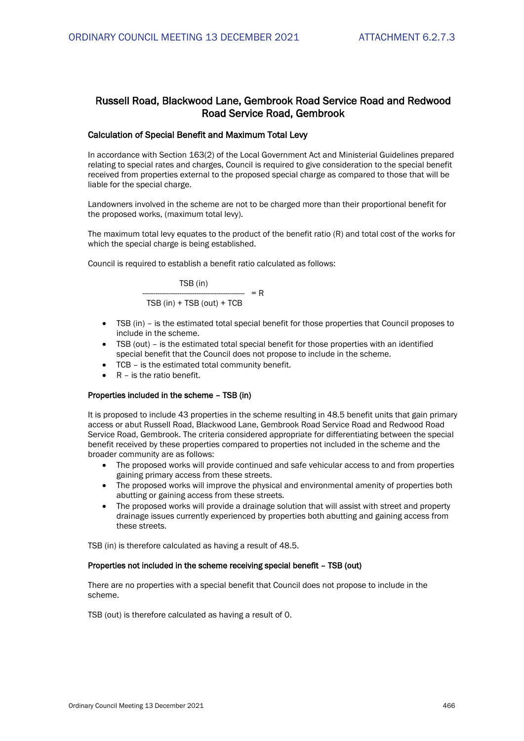### **Russell Road, Blackwood Lane, Gembrook Road Service Road and Redwood Road Service Road, Gembrook**

#### **Calculation of Special Benefit and Maximum Total Levy**

In accordance with Section 163(2) of the Local Government Act and Ministerial Guidelines prepared relating to special rates and charges, Council is required to give consideration to the special benefit received from properties external to the proposed special charge as compared to those that will be liable for the special charge.

Landowners involved in the scheme are not to be charged more than their proportional benefit for the proposed works, (maximum total levy).

The maximum total levy equates to the product of the benefit ratio (R) and total cost of the works for which the special charge is being established.

Council is required to establish a benefit ratio calculated as follows:

$$
TSB (in)
$$
\n
$$
TSB (in)
$$
\n
$$
= R
$$
\n
$$
TSB (in) + TSB (out) + TCB
$$

- TSB (in) is the estimated total special benefit for those properties that Council proposes to include in the scheme.
- TSB (out) is the estimated total special benefit for those properties with an identified special benefit that the Council does not propose to include in the scheme.
- TCB is the estimated total community benefit.
- R is the ratio benefit.

#### **Properties included in the scheme – TSB (in)**

It is proposed to include 43 properties in the scheme resulting in 48.5 benefit units that gain primary access or abut Russell Road, Blackwood Lane, Gembrook Road Service Road and Redwood Road Service Road, Gembrook. The criteria considered appropriate for differentiating between the special benefit received by these properties compared to properties not included in the scheme and the broader community are as follows:

- The proposed works will provide continued and safe vehicular access to and from properties gaining primary access from these streets.
- The proposed works will improve the physical and environmental amenity of properties both abutting or gaining access from these streets.
- The proposed works will provide a drainage solution that will assist with street and property drainage issues currently experienced by properties both abutting and gaining access from these streets.

TSB (in) is therefore calculated as having a result of 48.5.

#### **Properties not included in the scheme receiving special benefit – TSB (out)**

There are no properties with a special benefit that Council does not propose to include in the scheme.

TSB (out) is therefore calculated as having a result of 0.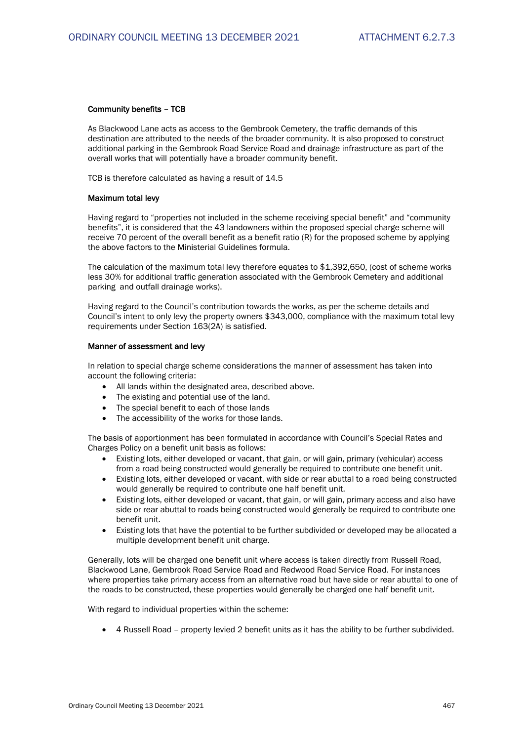#### **Community benefits – TCB**

As Blackwood Lane acts as access to the Gembrook Cemetery, the traffic demands of this destination are attributed to the needs of the broader community. It is also proposed to construct additional parking in the Gembrook Road Service Road and drainage infrastructure as part of the overall works that will potentially have a broader community benefit.

TCB is therefore calculated as having a result of 14.5

#### **Maximum total levy**

Having regard to "properties not included in the scheme receiving special benefit" and "community benefits", it is considered that the 43 landowners within the proposed special charge scheme will receive 70 percent of the overall benefit as a benefit ratio (R) for the proposed scheme by applying the above factors to the Ministerial Guidelines formula.

The calculation of the maximum total levy therefore equates to \$1,392,650, (cost of scheme works less 30% for additional traffic generation associated with the Gembrook Cemetery and additional parking and outfall drainage works).

Having regard to the Council's contribution towards the works, as per the scheme details and Council's intent to only levy the property owners \$343,000, compliance with the maximum total levy requirements under Section 163(2A) is satisfied.

#### **Manner of assessment and levy**

In relation to special charge scheme considerations the manner of assessment has taken into account the following criteria:

- All lands within the designated area, described above.
- The existing and potential use of the land.
- The special benefit to each of those lands
- The accessibility of the works for those lands.

The basis of apportionment has been formulated in accordance with Council's Special Rates and Charges Policy on a benefit unit basis as follows:

- Existing lots, either developed or vacant, that gain, or will gain, primary (vehicular) access from a road being constructed would generally be required to contribute one benefit unit.
- Existing lots, either developed or vacant, with side or rear abuttal to a road being constructed would generally be required to contribute one half benefit unit.
- Existing lots, either developed or vacant, that gain, or will gain, primary access and also have side or rear abuttal to roads being constructed would generally be required to contribute one benefit unit.
- Existing lots that have the potential to be further subdivided or developed may be allocated a multiple development benefit unit charge.

Generally, lots will be charged one benefit unit where access is taken directly from Russell Road, Blackwood Lane, Gembrook Road Service Road and Redwood Road Service Road. For instances where properties take primary access from an alternative road but have side or rear abuttal to one of the roads to be constructed, these properties would generally be charged one half benefit unit.

With regard to individual properties within the scheme:

4 Russell Road – property levied 2 benefit units as it has the ability to be further subdivided.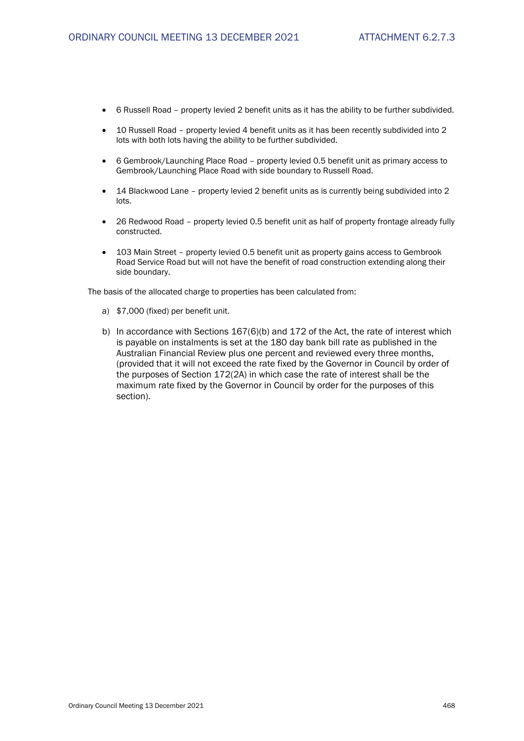- 6 Russell Road property levied 2 benefit units as it has the ability to be further subdivided.
- 10 Russell Road property levied 4 benefit units as it has been recently subdivided into 2 lots with both lots having the ability to be further subdivided.
- 6 Gembrook/Launching Place Road property levied 0.5 benefit unit as primary access to Gembrook/Launching Place Road with side boundary to Russell Road.
- 14 Blackwood Lane property levied 2 benefit units as is currently being subdivided into 2 lots.
- 26 Redwood Road property levied 0.5 benefit unit as half of property frontage already fully constructed.
- 103 Main Street property levied 0.5 benefit unit as property gains access to Gembrook Road Service Road but will not have the benefit of road construction extending along their side boundary.

The basis of the allocated charge to properties has been calculated from:

- a) \$7,000 (fixed) per benefit unit.
- b) In accordance with Sections 167(6)(b) and 172 of the Act, the rate of interest which is payable on instalments is set at the 180 day bank bill rate as published in the Australian Financial Review plus one percent and reviewed every three months, (provided that it will not exceed the rate fixed by the Governor in Council by order of the purposes of Section 172(2A) in which case the rate of interest shall be the maximum rate fixed by the Governor in Council by order for the purposes of this section).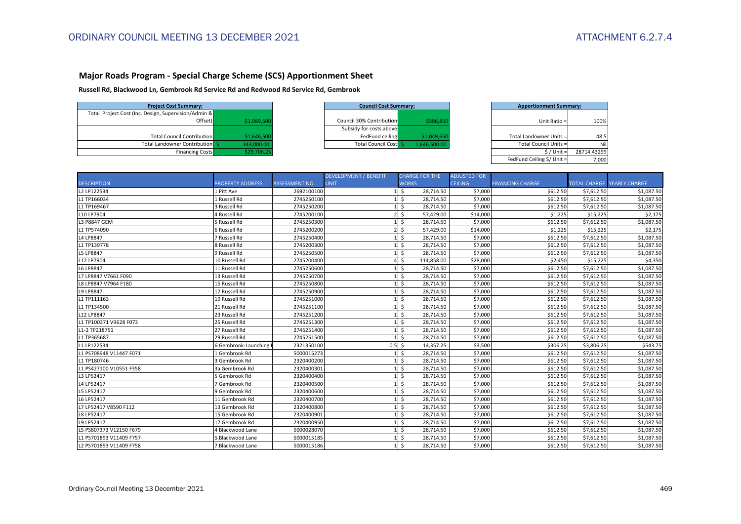### **Major Roads Program - Special Charge Scheme (SCS) Apportionment Sheet**

**Russell Rd, Blackwood Ln, Gembrook Rd Service Rd and Redwood Rd Service Rd, Gembrook**

| <b>Project Cost Summary:</b>                         |             |
|------------------------------------------------------|-------------|
| Total Project Cost (Inc. Design, Supervision/Admin & |             |
| Offset)                                              | \$1,989,500 |
|                                                      |             |
| Total Council Contribution                           | \$1,646,500 |
| Total Landowner Contribution S                       | 343,000.00  |
| <b>Financing Costs</b>                               | \$29,706.25 |

| <b>Project Cost Summary:</b>      |             | <b>Council Cost Summary:</b> |             | <b>Apportionment Summary:</b> |      |
|-----------------------------------|-------------|------------------------------|-------------|-------------------------------|------|
| Design, Supervision/Admin &       |             |                              |             |                               |      |
| Offset)                           | 1,989,500   | Council 30% Contribution     | \$596,850   | Unit Ratio =                  | 100% |
|                                   |             | Subsidy for costs above      |             |                               |      |
| <b>Total Council Contribution</b> | \$1,646,500 | FedFund ceiling              | \$1,049,650 | Total Landowner Units =       | 48.5 |
| Total Landowner Contribution S    | 343.000.00  | <b>Total Council Cost</b> S  | .646.500.00 | Total Council Units =         | Nil  |
|                                   |             |                              |             |                               |      |

| : Summarv:             |             | <b>Council Cost Summary:</b> |              | <b>Apportionment Summary:</b> |             |
|------------------------|-------------|------------------------------|--------------|-------------------------------|-------------|
| vision/Admin &         |             |                              |              |                               |             |
| Offset)                | \$1,989,500 | Council 30% Contribution     | \$596,850    | Unit Ratio =                  | 100%        |
|                        |             | Subsidy for costs above      |              |                               |             |
| cil Contribution       | \$1,646,500 | FedFund ceiling              | \$1,049,650  | Total Landowner Units =       | 48.5        |
| er Contribution S      | 343,000.00  | Total Council Cost S         | 1,646,500.00 | Total Council Units =         | Nil         |
| <b>Financing Costs</b> | \$29,706.25 |                              |              | $S /$ Unit =                  | 28714.43299 |
|                        |             |                              |              | FedFund Ceiling \$/ Unit =    | 7.000       |

|                         |                         |                       | <b>DEVELOPMENT / BENEFIT</b> | <b>CHARGE FOR THE</b>                   | <b>ADJUSTED FOR</b> |                         |            |                                   |
|-------------------------|-------------------------|-----------------------|------------------------------|-----------------------------------------|---------------------|-------------------------|------------|-----------------------------------|
| <b>DESCRIPTION</b>      | <b>PROPERTY ADDRESS</b> | <b>ASSESSMENT NO.</b> | <b>UNIT</b>                  | <b>WORKS</b>                            | <b>CEILING</b>      | <b>FINANCING CHARGE</b> |            | <b>TOTAL CHARGE YEARLY CHARGE</b> |
| L2 LP122534             | 1 Pitt Ave              | 2692100100            |                              | \$<br>28,714.50                         | \$7,000             | \$612.50                | \$7,612.50 | \$1,087.50                        |
| L1 TP166034             | 1 Russell Rd            | 2745250100            |                              | $1\overline{\phantom{0}}$<br>28,714.50  | \$7,000             | \$612.50                | \$7,612.50 | \$1,087.50                        |
| L1 TP169467             | 3 Russell Rd            | 2745250200            |                              | $1\overline{\phantom{0}}$<br>28,714.50  | \$7,000             | \$612.50                | \$7,612.50 | \$1,087.50                        |
| L10 LP7904              | 4 Russell Rd            | 2745200100            |                              | $2 \overline{\phantom{a}}$<br>57,429.00 | \$14,000            | \$1,225                 | \$15,225   | \$2,175                           |
| L3 P8847 GEM            | 5 Russell Rd            | 2745250300            |                              | 1 <sup>5</sup><br>28,714.50             | \$7,000             | \$612.50                | \$7,612.50 | \$1,087.50                        |
| L1 TP574090             | 6 Russell Rd            | 2745200200            |                              | 2 <sub>5</sub><br>57,429.00             | \$14,000            | \$1,225                 | \$15,225   | \$2,175                           |
| L4 LP8847               | 7 Russell Rd            | 2745250400            |                              | $1\overline{\phantom{0}}$<br>28,714.50  | \$7,000             | \$612.50                | \$7,612.50 | \$1,087.50                        |
| L1 TP139778             | 8 Russell Rd            | 2745200300            |                              | $1\overline{5}$<br>28,714.50            | \$7,000             | \$612.50                | \$7,612.50 | \$1,087.50                        |
| L5 LP8847               | 9 Russell Rd            | 2745250500            |                              | $1\overline{\smash{5}}$<br>28,714.50    | \$7,000             | \$612.50                | \$7,612.50 | \$1,087.50                        |
| L12 LP7904              | 10 Russell Rd           | 2745200400            |                              | $4\overline{\smash{5}}$<br>114,858.00   | \$28,000            | \$2,450                 | \$15,225   | \$4,350                           |
| L6 LP8847               | 11 Russell Rd           | 2745250600            |                              | $1\overline{\phantom{0}}$<br>28,714.50  | \$7,000             | \$612.50                | \$7,612.50 | \$1,087.50                        |
| L7 LP8847 V7661 F090    | 13 Russell Rd           | 2745250700            |                              | $1\overline{5}$<br>28,714.50            | \$7,000             | \$612.50                | \$7,612.50 | \$1,087.50                        |
| L8 LP8847 V7964 F180    | 15 Russell Rd           | 2745250800            |                              | $1\overline{\phantom{0}}$<br>28,714.50  | \$7,000             | \$612.50                | \$7,612.50 | \$1,087.50                        |
| L9 LP8847               | 17 Russell Rd           | 2745250900            |                              | $1\overline{\phantom{0}}$<br>28,714.50  | \$7,000             | \$612.50                | \$7,612.50 | \$1,087.50                        |
| L1 TP111163             | 19 Russell Rd           | 2745251000            |                              | $1\overline{\phantom{0}}$<br>28,714.50  | \$7,000             | \$612.50                | \$7,612.50 | \$1,087.50                        |
| L1 TP134500             | 21 Russell Rd           | 2745251100            |                              | 1 <sup>5</sup><br>28,714.50             | \$7,000             | \$612.50                | \$7,612.50 | \$1,087.50                        |
| L12 LP8847              | 23 Russell Rd           | 2745251200            |                              | $1\overline{\phantom{0}}$<br>28,714.50  | \$7,000             | \$612.50                | \$7,612.50 | \$1,087.50                        |
| L1 TP100371 V9628 F073  | 25 Russell Rd           | 2745251300            |                              | $1\overline{\smash{5}}$<br>28,714.50    | \$7,000             | \$612.50                | \$7,612.50 | \$1,087.50                        |
| L1-2 TP218751           | 27 Russell Rd           | 2745251400            |                              | $1\overline{\phantom{0}}$<br>28,714.50  | \$7,000             | \$612.50                | \$7,612.50 | \$1,087.50                        |
| L1 TP365687             | 29 Russell Rd           | 2745251500            |                              | $1\overline{\phantom{0}}$<br>28,714.50  | \$7,000             | \$612.50                | \$7,612.50 | \$1,087.50                        |
| L1 LP122534             | 6 Gembrook-Launching    | 2321350100            | $0.5$ \$                     | 14,357.25                               | \$3,500             | \$306.25                | \$3,806.25 | \$543.75                          |
| L1 PS708948 V11447 F071 | L Gembrook Rd           | 5000015273            |                              | 1 <sup>5</sup><br>28,714.50             | \$7,000             | \$612.50                | \$7,612.50 | \$1,087.50                        |
| L1 TP180746             | 3 Gembrook Rd           | 2320400200            |                              | $1\overline{5}$<br>28,714.50            | \$7,000             | \$612.50                | \$7,612.50 | \$1,087.50                        |
| L1 PS427100 V10551 F358 | 3a Gembrook Rd          | 2320400301            |                              | $1\overline{\phantom{0}}$<br>28,714.50  | \$7,000             | \$612.50                | \$7,612.50 | \$1,087.50                        |
| L3 LP52417              | 5 Gembrook Rd           | 2320400400            |                              | $1\overline{s}$<br>28,714.50            | \$7,000             | \$612.50                | \$7,612.50 | \$1,087.50                        |
| L4 LP52417              | 7 Gembrook Rd           | 2320400500            |                              | $1\overline{5}$<br>28,714.50            | \$7,000             | \$612.50                | \$7,612.50 | \$1,087.50                        |
| L5 LP52417              | 9 Gembrook Rd           | 2320400600            |                              | $1\overline{\phantom{0}}$<br>28,714.50  | \$7,000             | \$612.50                | \$7,612.50 | \$1,087.50                        |
| L6 LP52417              | 11 Gembrook Rd          | 2320400700            |                              | l s<br>28,714.50                        | \$7,000             | \$612.50                | \$7,612.50 | \$1,087.50                        |
| L7 LP52417 V8590 F112   | 13 Gembrook Rd          | 2320400800            |                              | $1\overline{\phantom{0}}$<br>28,714.50  | \$7,000             | \$612.50                | \$7,612.50 | \$1,087.50                        |
| L8 LP52417              | 15 Gembrook Rd          | 2320400901            |                              | $1\overline{5}$<br>28,714.50            | \$7,000             | \$612.50                | \$7,612.50 | \$1,087.50                        |
| L9 LP52417              | 17 Gembrook Rd          | 2320400950            |                              | 15<br>28,714.50                         | \$7,000             | \$612.50                | \$7,612.50 | \$1,087.50                        |
| L5 PS807373 V12150 F679 | 4 Blackwood Lane        | 5000028070            |                              | $1\overline{5}$<br>28,714.50            | \$7,000             | \$612.50                | \$7,612.50 | \$1,087.50                        |
| L1 PS701893 V11409 F757 | <b>Blackwood Lane</b>   | 5000015185            |                              | $1\overline{\phantom{0}}$<br>28,714.50  | \$7,000             | \$612.50                | \$7,612.50 | \$1,087.50                        |
| L2 PS701893 V11409 F758 | 7 Blackwood Lane        | 5000015186            |                              | 1 <sup>5</sup><br>28,714.50             | \$7,000             | \$612.50                | \$7,612.50 | \$1,087.50                        |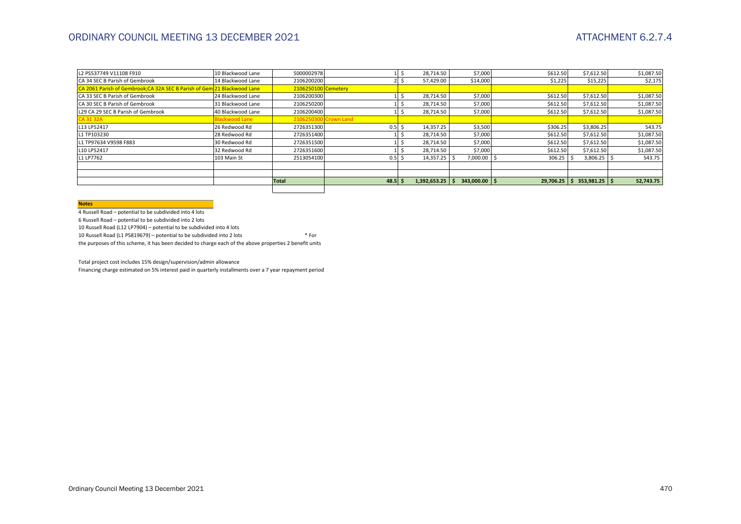### ORDINARY COUNCIL MEETING 13 DECEMBER 2021 ATTACHMENT 6.2.7.4

| L2 PS537749 V11108 F910                                                  | 10 Blackwood Lane | 5000002978            |              | 28,714.50         | \$7,000                    | \$612.50 | \$7,612.50                       | \$1,087.50 |
|--------------------------------------------------------------------------|-------------------|-----------------------|--------------|-------------------|----------------------------|----------|----------------------------------|------------|
| CA 34 SEC B Parish of Gembrook                                           | 14 Blackwood Lane | 2106200200            |              | 57,429.00         | \$14,000                   | \$1,225  | \$15,225                         | \$2,175    |
| CA 2061 Parish of Gembrook; CA 32A SEC B Parish of Gem 21 Blackwood Lane |                   | 2106250100 Cemetery   |              |                   |                            |          |                                  |            |
| CA 33 SEC B Parish of Gembrook                                           | 24 Blackwood Lane | 2106200300            |              | 28.714.50         | \$7,000                    | \$612.50 | \$7,612.50                       | \$1,087.50 |
| CA 30 SEC B Parish of Gembrook                                           | 31 Blackwood Lane | 2106250200            |              | 28,714.50         | \$7,000                    | \$612.50 | \$7,612.50                       | \$1,087.50 |
| L29 CA 29 SEC B Parish of Gembrook                                       | 40 Blackwood Lane | 2106200400            |              | 28,714.50         | \$7,000                    | \$612.50 | \$7,612.50                       | \$1,087.50 |
| <b>CA 31 32A</b>                                                         | Blackwood Lane    | 2106250300 Crown Land |              |                   |                            |          |                                  |            |
| L13 LP52417                                                              | 26 Redwood Rd     | 2726351300            | 0.5          | 14,357.25         | \$3,500                    | \$306.25 | \$3,806.25                       | 543.75     |
| L1 TP103230                                                              | 28 Redwood Rd     | 2726351400            |              | 28,714.50         | \$7,000                    | \$612.50 | \$7,612.50                       | \$1,087.50 |
| L1 TP97634 V9598 F883                                                    | 30 Redwood Rd     | 2726351500            |              | 28.714.50         | \$7,000                    | \$612.50 | \$7,612.50                       | \$1,087.50 |
| L10 LP52417                                                              | 32 Redwood Rd     | 2726351600            |              | 28,714.50         | \$7,000                    | \$612.50 | \$7,612.50                       | \$1,087.50 |
| L1 LP7762                                                                | 103 Main St       | 2513054100            | 0.5          | 14,357.25         | 7,000.00 \$                | 306.25   | 3,806.25                         | 543.75     |
|                                                                          |                   |                       |              |                   |                            |          |                                  |            |
|                                                                          |                   |                       |              |                   |                            |          |                                  |            |
|                                                                          |                   | <b>Total</b>          | $48.5$ $\pm$ | $1,392,653.25$ \$ | $343,000.00$ $\frac{1}{5}$ |          | $29,706.25$   \$ 353,981.25   \$ | 52,743.75  |
|                                                                          |                   |                       |              |                   |                            |          |                                  |            |

**Notes**

4 Russell Road – potential to be subdivided into 4 lots

6 Russell Road – potential to be subdivided into 2 lots

10 Russell Road (L12 LP7904) – potential to be subdivided into 4 lots

10 Russell Road (L1 PS819679) – potential to be subdivided into 2 lots \* For

the purposes of this scheme, it has been decided to charge each of the above properties 2 benefit units

Total project cost includes 15% design/supervision/admin allowance

Financing charge estimated on 5% interest paid in quarterly installments over a 7 year repayment period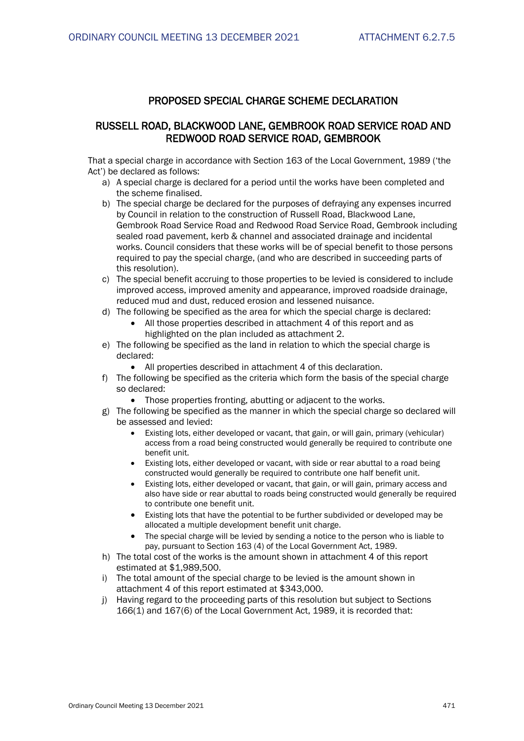### **PROPOSED SPECIAL CHARGE SCHEME DECLARATION**

### **RUSSELL ROAD, BLACKWOOD LANE, GEMBROOK ROAD SERVICE ROAD AND REDWOOD ROAD SERVICE ROAD, GEMBROOK**

That a special charge in accordance with Section 163 of the Local Government, 1989 ('the Act') be declared as follows:

- a) A special charge is declared for a period until the works have been completed and the scheme finalised.
- b) The special charge be declared for the purposes of defraying any expenses incurred by Council in relation to the construction of Russell Road, Blackwood Lane, Gembrook Road Service Road and Redwood Road Service Road, Gembrook including sealed road pavement, kerb & channel and associated drainage and incidental works. Council considers that these works will be of special benefit to those persons required to pay the special charge, (and who are described in succeeding parts of this resolution).
- c) The special benefit accruing to those properties to be levied is considered to include improved access, improved amenity and appearance, improved roadside drainage, reduced mud and dust, reduced erosion and lessened nuisance.
- d) The following be specified as the area for which the special charge is declared:
	- All those properties described in attachment 4 of this report and as highlighted on the plan included as attachment 2.
- e) The following be specified as the land in relation to which the special charge is declared:
	- All properties described in attachment 4 of this declaration.
- f) The following be specified as the criteria which form the basis of the special charge so declared:
	- Those properties fronting, abutting or adjacent to the works.
- g) The following be specified as the manner in which the special charge so declared will be assessed and levied:
	- Existing lots, either developed or vacant, that gain, or will gain, primary (vehicular) access from a road being constructed would generally be required to contribute one benefit unit.
	- Existing lots, either developed or vacant, with side or rear abuttal to a road being constructed would generally be required to contribute one half benefit unit.
	- Existing lots, either developed or vacant, that gain, or will gain, primary access and also have side or rear abuttal to roads being constructed would generally be required to contribute one benefit unit.
	- Existing lots that have the potential to be further subdivided or developed may be allocated a multiple development benefit unit charge.
	- The special charge will be levied by sending a notice to the person who is liable to pay, pursuant to Section 163 (4) of the Local Government Act, 1989.
- h) The total cost of the works is the amount shown in attachment 4 of this report estimated at \$1,989,500.
- i) The total amount of the special charge to be levied is the amount shown in attachment 4 of this report estimated at \$343,000.
- j) Having regard to the proceeding parts of this resolution but subject to Sections 166(1) and 167(6) of the Local Government Act, 1989, it is recorded that: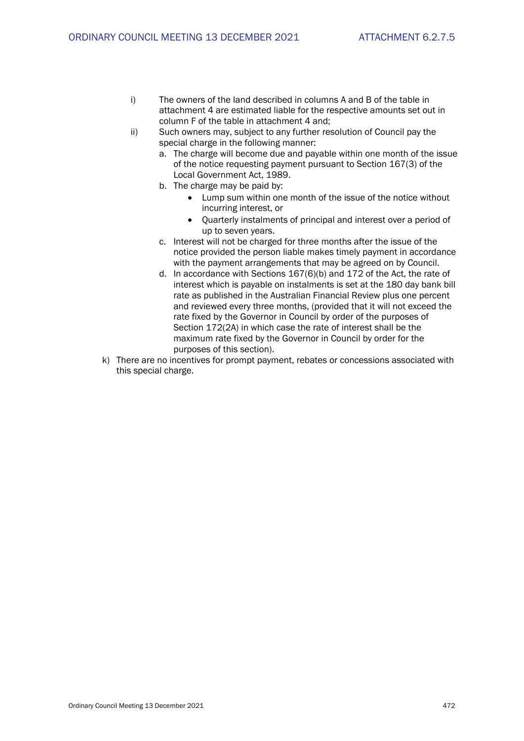- i) The owners of the land described in columns A and B of the table in attachment 4 are estimated liable for the respective amounts set out in column F of the table in attachment 4 and;
- ii) Such owners may, subject to any further resolution of Council pay the special charge in the following manner:
	- a. The charge will become due and payable within one month of the issue of the notice requesting payment pursuant to Section 167(3) of the Local Government Act, 1989.
	- b. The charge may be paid by:
		- Lump sum within one month of the issue of the notice without incurring interest, or
		- Quarterly instalments of principal and interest over a period of up to seven years.
	- c. Interest will not be charged for three months after the issue of the notice provided the person liable makes timely payment in accordance with the payment arrangements that may be agreed on by Council.
	- d. In accordance with Sections 167(6)(b) and 172 of the Act, the rate of interest which is payable on instalments is set at the 180 day bank bill rate as published in the Australian Financial Review plus one percent and reviewed every three months, (provided that it will not exceed the rate fixed by the Governor in Council by order of the purposes of Section 172(2A) in which case the rate of interest shall be the maximum rate fixed by the Governor in Council by order for the purposes of this section).
- k) There are no incentives for prompt payment, rebates or concessions associated with this special charge.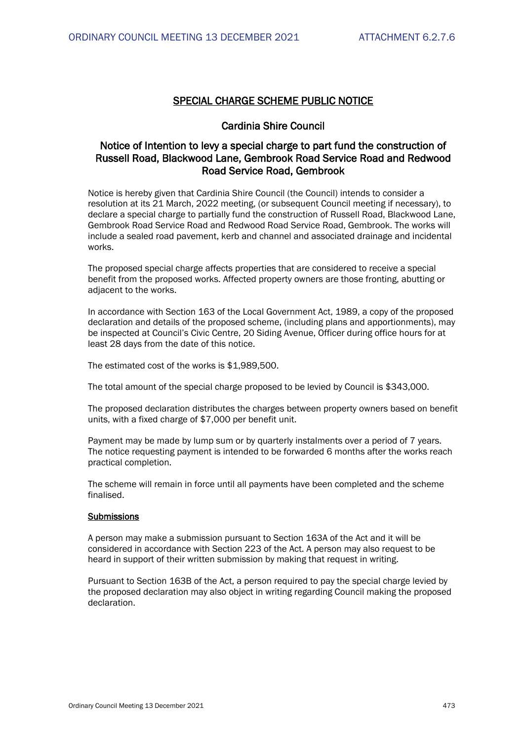### **SPECIAL CHARGE SCHEME PUBLIC NOTICE**

### **Cardinia Shire Council**

### **Notice of Intention to levy a special charge to part fund the construction of Russell Road, Blackwood Lane, Gembrook Road Service Road and Redwood Road Service Road, Gembrook**

Notice is hereby given that Cardinia Shire Council (the Council) intends to consider a resolution at its 21 March, 2022 meeting, (or subsequent Council meeting if necessary), to declare a special charge to partially fund the construction of Russell Road, Blackwood Lane, Gembrook Road Service Road and Redwood Road Service Road, Gembrook. The works will include a sealed road pavement, kerb and channel and associated drainage and incidental works.

The proposed special charge affects properties that are considered to receive a special benefit from the proposed works. Affected property owners are those fronting, abutting or adiacent to the works.

In accordance with Section 163 of the Local Government Act, 1989, a copy of the proposed declaration and details of the proposed scheme, (including plans and apportionments), may be inspected at Council's Civic Centre, 20 Siding Avenue, Officer during office hours for at least 28 days from the date of this notice.

The estimated cost of the works is \$1,989,500.

The total amount of the special charge proposed to be levied by Council is \$343,000.

The proposed declaration distributes the charges between property owners based on benefit units, with a fixed charge of \$7,000 per benefit unit.

Payment may be made by lump sum or by quarterly instalments over a period of 7 years. The notice requesting payment is intended to be forwarded 6 months after the works reach practical completion.

The scheme will remain in force until all payments have been completed and the scheme finalised.

### **Submissions**

A person may make a submission pursuant to Section 163A of the Act and it will be considered in accordance with Section 223 of the Act. A person may also request to be heard in support of their written submission by making that request in writing.

Pursuant to Section 163B of the Act, a person required to pay the special charge levied by the proposed declaration may also object in writing regarding Council making the proposed declaration.